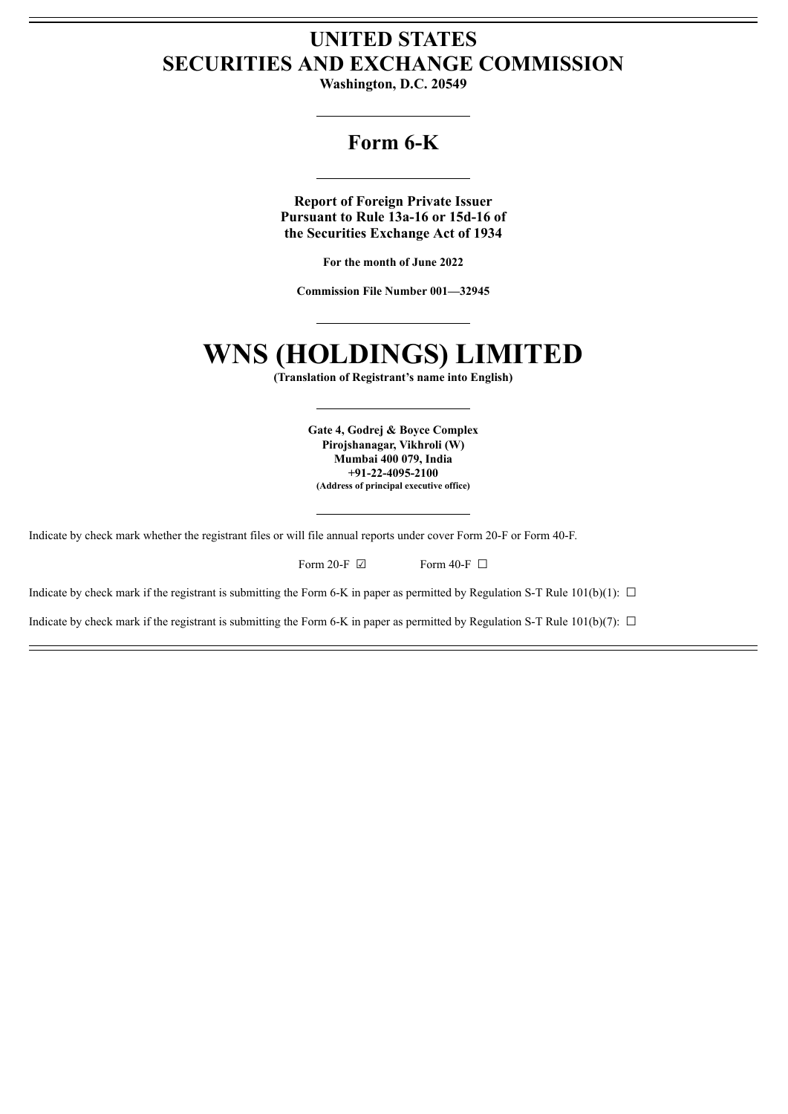# **UNITED STATES SECURITIES AND EXCHANGE COMMISSION**

**Washington, D.C. 20549**

## **Form 6-K**

**Report of Foreign Private Issuer Pursuant to Rule 13a-16 or 15d-16 of the Securities Exchange Act of 1934**

**For the month of June 2022**

**Commission File Number 001—32945**

# **WNS (HOLDINGS) LIMITED**

**(Translation of Registrant's name into English)**

**Gate 4, Godrej & Boyce Complex Pirojshanagar, Vikhroli (W) Mumbai 400 079, India +91-22-4095-2100 (Address of principal executive office)**

Indicate by check mark whether the registrant files or will file annual reports under cover Form 20-F or Form 40-F.

| Form 20-F $\boxtimes$ | Form 40-F $\Box$ |
|-----------------------|------------------|
|                       |                  |

Indicate by check mark if the registrant is submitting the Form 6-K in paper as permitted by Regulation S-T Rule 101(b)(1):  $\Box$ 

Indicate by check mark if the registrant is submitting the Form 6-K in paper as permitted by Regulation S-T Rule 101(b)(7):  $\Box$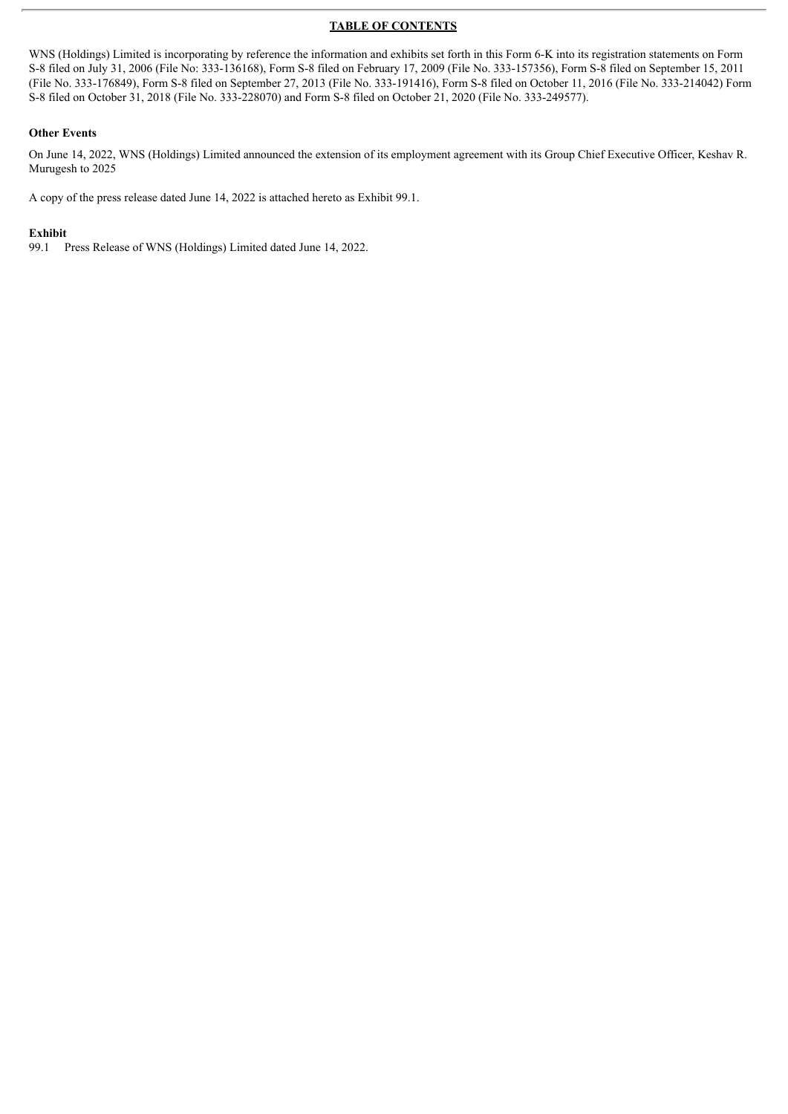#### **TABLE OF CONTENTS**

WNS (Holdings) Limited is incorporating by reference the information and exhibits set forth in this Form 6-K into its registration statements on Form S-8 filed on July 31, 2006 (File No: 333-136168), Form S-8 filed on February 17, 2009 (File No. 333-157356), Form S-8 filed on September 15, 2011 (File No. 333-176849), Form S-8 filed on September 27, 2013 (File No. 333-191416), Form S-8 filed on October 11, 2016 (File No. 333-214042) Form S-8 filed on October 31, 2018 (File No. 333-228070) and Form S-8 filed on October 21, 2020 (File No. 333-249577).

#### **Other Events**

On June 14, 2022, WNS (Holdings) Limited announced the extension of its employment agreement with its Group Chief Executive Officer, Keshav R. Murugesh to 2025

A copy of the press release dated June 14, 2022 is attached hereto as Exhibit 99.1.

#### **Exhibit**

99.1 Press Release of WNS (Holdings) Limited dated June 14, 2022.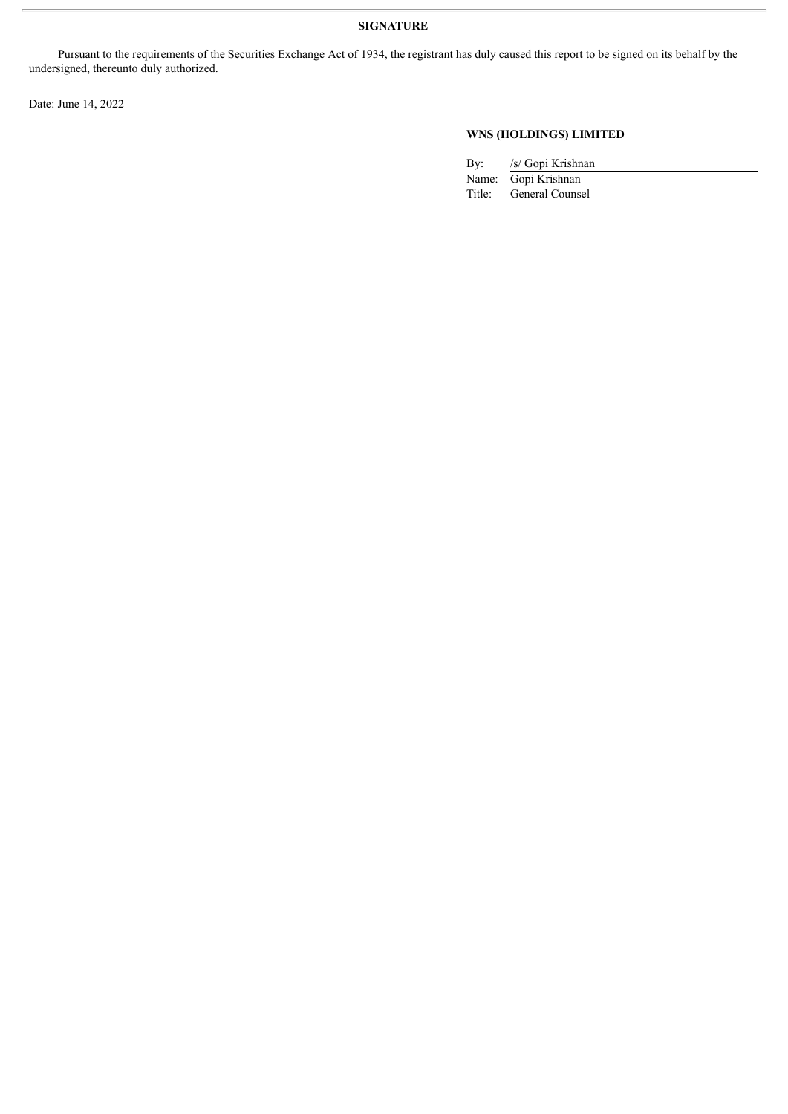Pursuant to the requirements of the Securities Exchange Act of 1934, the registrant has duly caused this report to be signed on its behalf by the undersigned, thereunto duly authorized.

Date: June 14, 2022

### **WNS (HOLDINGS) LIMITED**

| Bv: | /s/ Gopi Krishnan      |
|-----|------------------------|
|     | Name: Gopi Krishnan    |
|     | Title: General Counsel |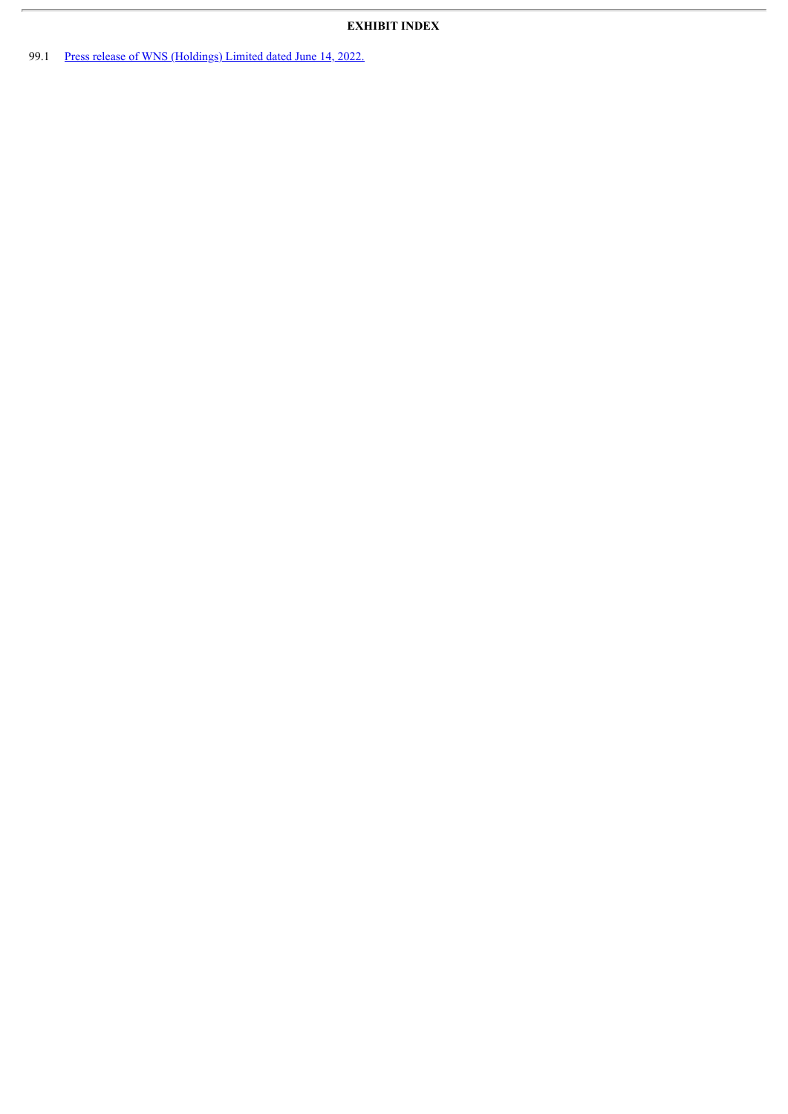99.1 Press release of WNS [\(Holdings\)](#page-4-0) Limited dated June 14, 2022.

 $\overline{r}$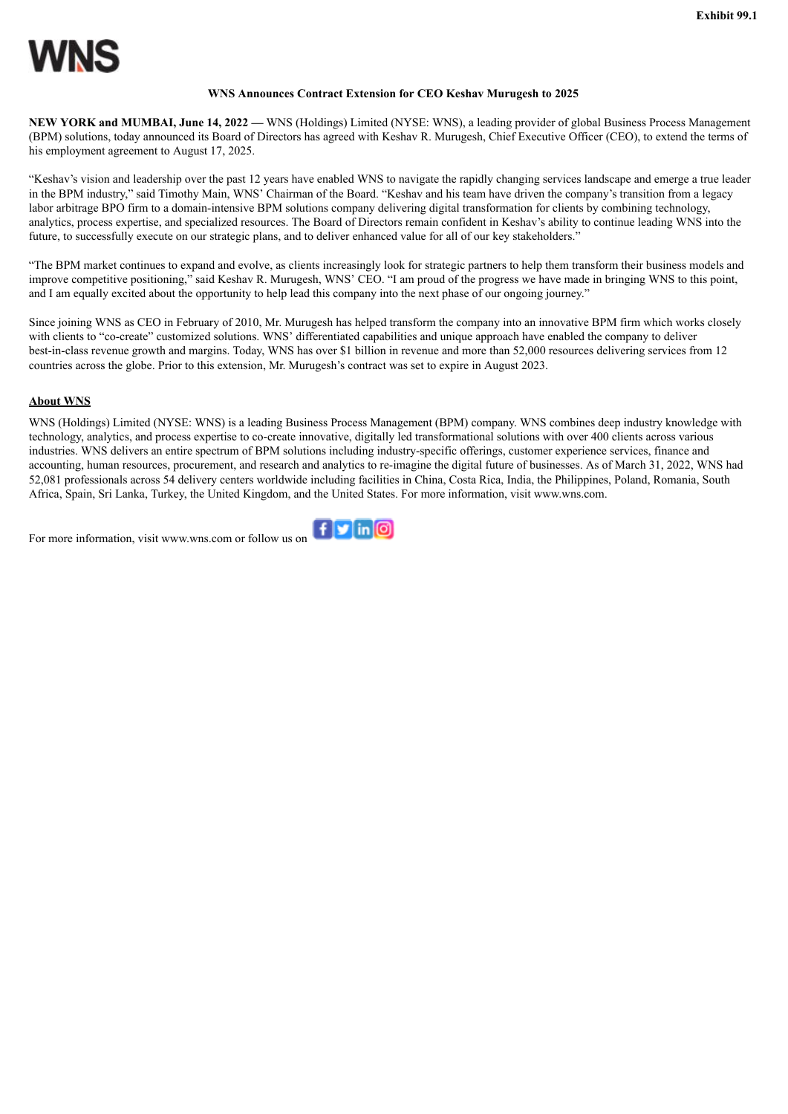#### **WNS Announces Contract Extension for CEO Keshav Murugesh to 2025**

<span id="page-4-0"></span>**NEW YORK and MUMBAI, June 14, 2022 —** WNS (Holdings) Limited (NYSE: WNS), a leading provider of global Business Process Management (BPM) solutions, today announced its Board of Directors has agreed with Keshav R. Murugesh, Chief Executive Officer (CEO), to extend the terms of his employment agreement to August 17, 2025.

"Keshav's vision and leadership over the past 12 years have enabled WNS to navigate the rapidly changing services landscape and emerge a true leader in the BPM industry," said Timothy Main, WNS' Chairman of the Board. "Keshav and his team have driven the company's transition from a legacy labor arbitrage BPO firm to a domain-intensive BPM solutions company delivering digital transformation for clients by combining technology, analytics, process expertise, and specialized resources. The Board of Directors remain confident in Keshav's ability to continue leading WNS into the future, to successfully execute on our strategic plans, and to deliver enhanced value for all of our key stakeholders."

"The BPM market continues to expand and evolve, as clients increasingly look for strategic partners to help them transform their business models and improve competitive positioning," said Keshav R. Murugesh, WNS' CEO. "I am proud of the progress we have made in bringing WNS to this point, and I am equally excited about the opportunity to help lead this company into the next phase of our ongoing journey."

Since joining WNS as CEO in February of 2010, Mr. Murugesh has helped transform the company into an innovative BPM firm which works closely with clients to "co-create" customized solutions. WNS' differentiated capabilities and unique approach have enabled the company to deliver best-in-class revenue growth and margins. Today, WNS has over \$1 billion in revenue and more than 52,000 resources delivering services from 12 countries across the globe. Prior to this extension, Mr. Murugesh's contract was set to expire in August 2023.

#### **About WNS**

WNS (Holdings) Limited (NYSE: WNS) is a leading Business Process Management (BPM) company. WNS combines deep industry knowledge with technology, analytics, and process expertise to co-create innovative, digitally led transformational solutions with over 400 clients across various industries. WNS delivers an entire spectrum of BPM solutions including industry-specific offerings, customer experience services, finance and accounting, human resources, procurement, and research and analytics to re-imagine the digital future of businesses. As of March 31, 2022, WNS had 52,081 professionals across 54 delivery centers worldwide including facilities in China, Costa Rica, India, the Philippines, Poland, Romania, South Africa, Spain, Sri Lanka, Turkey, the United Kingdom, and the United States. For more information, visit www.wns.com.

For more information, visit www.wns.com or follow us on  $\left| \begin{array}{c} \uparrow \end{array} \right|$  in  $\boxed{\odot}$